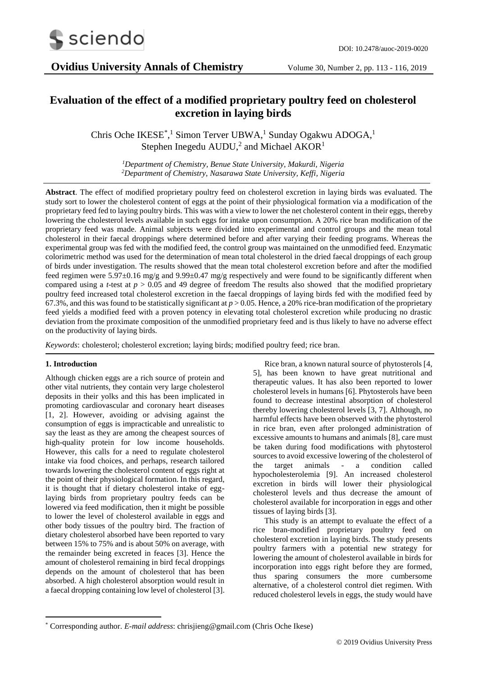

# **Evaluation of the effect of a modified proprietary poultry feed on cholesterol excretion in laying birds**

Chris Oche IKESE<sup>\*</sup>,<sup>1</sup> Simon Terver UBWA,<sup>1</sup> Sunday Ogakwu ADOGA,<sup>1</sup> Stephen Inegedu  $\text{AUDU}$ ,<sup>2</sup> and Michael  $\text{AKOR}^{1}$ 

> *<sup>1</sup>Department of Chemistry, Benue State University, Makurdi, Nigeria <sup>2</sup>Department of Chemistry, Nasarawa State University, Keffi, Nigeria*

**Abstract**. The effect of modified proprietary poultry feed on cholesterol excretion in laying birds was evaluated. The study sort to lower the cholesterol content of eggs at the point of their physiological formation via a modification of the proprietary feed fed to laying poultry birds. This was with a view to lower the net cholesterol content in their eggs, thereby lowering the cholesterol levels available in such eggs for intake upon consumption. A 20% rice bran modification of the proprietary feed was made. Animal subjects were divided into experimental and control groups and the mean total cholesterol in their faecal droppings where determined before and after varying their feeding programs. Whereas the experimental group was fed with the modified feed, the control group was maintained on the unmodified feed. Enzymatic colorimetric method was used for the determination of mean total cholesterol in the dried faecal droppings of each group of birds under investigation. The results showed that the mean total cholesterol excretion before and after the modified feed regimen were 5.97±0.16 mg/g and 9.99±0.47 mg/g respectively and were found to be significantly different when compared using a *t*-test at *p* > 0.05 and 49 degree of freedom The results also showed that the modified proprietary poultry feed increased total cholesterol excretion in the faecal droppings of laying birds fed with the modified feed by 67.3%, and this was found to be statistically significant at *p* > 0.05. Hence, a 20% rice-bran modification of the proprietary feed yields a modified feed with a proven potency in elevating total cholesterol excretion while producing no drastic deviation from the proximate composition of the unmodified proprietary feed and is thus likely to have no adverse effect on the productivity of laying birds.

*Keywords*: cholesterol; cholesterol excretion; laying birds; modified poultry feed; rice bran.

## **1. Introduction**

**.** 

Although chicken eggs are a rich source of protein and other vital nutrients, they contain very large cholesterol deposits in their yolks and this has been implicated in promoting cardiovascular and coronary heart diseases [1, 2]. However, avoiding or advising against the consumption of eggs is impracticable and unrealistic to say the least as they are among the cheapest sources of high-quality protein for low income households. However, this calls for a need to regulate cholesterol intake via food choices, and perhaps, research tailored towards lowering the cholesterol content of eggs right at the point of their physiological formation. In this regard, it is thought that if dietary cholesterol intake of egglaying birds from proprietary poultry feeds can be lowered via feed modification, then it might be possible to lower the level of cholesterol available in eggs and other body tissues of the poultry bird. The fraction of dietary cholesterol absorbed have been reported to vary between 15% to 75% and is about 50% on average, with the remainder being excreted in feaces [3]. Hence the amount of cholesterol remaining in bird fecal droppings depends on the amount of cholesterol that has been absorbed. A high cholesterol absorption would result in a faecal dropping containing low level of cholesterol [3].

Rice bran, a known natural source of phytosterols [4, 5], has been known to have great nutritional and therapeutic values. It has also been reported to lower cholesterol levels in humans [6]. Phytosterols have been found to decrease intestinal absorption of cholesterol thereby lowering cholesterol levels [3, 7]. Although, no harmful effects have been observed with the phytosterol in rice bran, even after prolonged administration of excessive amounts to humans and animals [8], care must be taken during food modifications with phytosterol sources to avoid excessive lowering of the cholesterol of the target animals - a condition called hypocholesterolemia [9]. An increased cholesterol excretion in birds will lower their physiological cholesterol levels and thus decrease the amount of cholesterol available for incorporation in eggs and other tissues of laying birds [3].

This study is an attempt to evaluate the effect of a rice bran-modified proprietary poultry feed on cholesterol excretion in laying birds. The study presents poultry farmers with a potential new strategy for lowering the amount of cholesterol available in birds for incorporation into eggs right before they are formed, thus sparing consumers the more cumbersome alternative, of a cholesterol control diet regimen. With reduced cholesterol levels in eggs, the study would have

<sup>\*</sup> Corresponding author. *E-mail address*: chrisjieng@gmail.com (Chris Oche Ikese)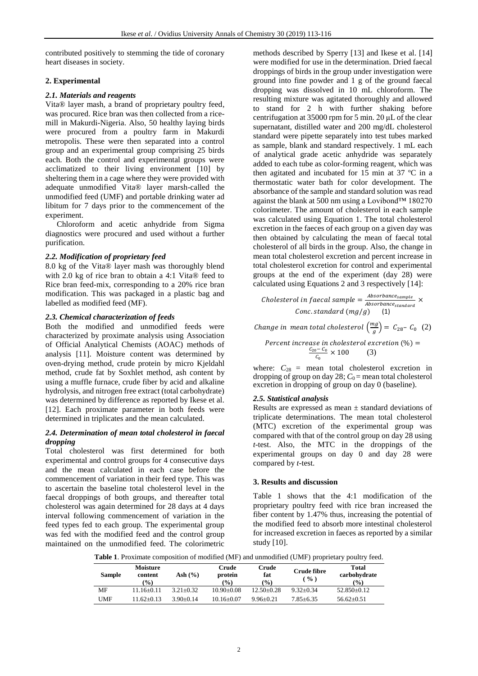contributed positively to stemming the tide of coronary heart diseases in society.

## **2. Experimental**

## *2.1. Materials and reagents*

Vita® layer mash, a brand of proprietary poultry feed, was procured. Rice bran was then collected from a ricemill in Makurdi-Nigeria. Also, 50 healthy laying birds were procured from a poultry farm in Makurdi metropolis. These were then separated into a control group and an experimental group comprising 25 birds each. Both the control and experimental groups were acclimatized to their living environment [10] by sheltering them in a cage where they were provided with adequate unmodified Vita® layer marsh-called the unmodified feed (UMF) and portable drinking water ad libitum for 7 days prior to the commencement of the experiment.

Chloroform and acetic anhydride from Sigma diagnostics were procured and used without a further purification.

## *2.2. Modification of proprietary feed*

8.0 kg of the Vita® layer mash was thoroughly blend with 2.0 kg of rice bran to obtain a 4:1 Vita® feed to Rice bran feed-mix, corresponding to a 20% rice bran modification. This was packaged in a plastic bag and labelled as modified feed (MF).

#### *2.3. Chemical characterization of feeds*

Both the modified and unmodified feeds were characterized by proximate analysis using Association of Official Analytical Chemists (AOAC) methods of analysis [11]. Moisture content was determined by oven-drying method, crude protein by micro Kjeldahl method, crude fat by Soxhlet method, ash content by using a muffle furnace, crude fiber by acid and alkaline hydrolysis, and nitrogen free extract (total carbohydrate) was determined by difference as reported by Ikese et al. [12]. Each proximate parameter in both feeds were determined in triplicates and the mean calculated.

#### *2.4. Determination of mean total cholesterol in faecal dropping*

Total cholesterol was first determined for both experimental and control groups for 4 consecutive days and the mean calculated in each case before the commencement of variation in their feed type. This was to ascertain the baseline total cholesterol level in the faecal droppings of both groups, and thereafter total cholesterol was again determined for 28 days at 4 days interval following commencement of variation in the feed types fed to each group. The experimental group was fed with the modified feed and the control group maintained on the unmodified feed. The colorimetric

methods described by Sperry [13] and Ikese et al. [14] were modified for use in the determination. Dried faecal droppings of birds in the group under investigation were ground into fine powder and 1 g of the ground faecal dropping was dissolved in 10 mL chloroform. The resulting mixture was agitated thoroughly and allowed to stand for 2 h with further shaking before centrifugation at 35000 rpm for 5 min. 20 μL of the clear supernatant, distilled water and 200 mg/dL cholesterol standard were pipette separately into test tubes marked as sample, blank and standard respectively. 1 mL each of analytical grade acetic anhydride was separately added to each tube as color-forming reagent, which was then agitated and incubated for 15 min at 37 ºC in a thermostatic water bath for color development. The absorbance of the sample and standard solution was read against the blank at 500 nm using a Lovibond™ 180270 colorimeter. The amount of cholesterol in each sample was calculated using Equation 1. The total cholesterol excretion in the faeces of each group on a given day was then obtained by calculating the mean of faecal total cholesterol of all birds in the group. Also, the change in mean total cholesterol excretion and percent increase in total cholesterol excretion for control and experimental groups at the end of the experiment (day 28) were calculated using Equations 2 and 3 respectively [14]:

Cholesterol in faecal sample  $=\frac{Absorbane_{sample}}{Absorbase}$  $\frac{1}{\text{Absorbance}_{standard}} \times$  $Conc. standard (mg/g)$ 

Change in mean total cholesterol  $\left(\frac{mg}{a}\right)$  $\left(\frac{mg}{g}\right) = C_{28} - C_0$  (2)

Percent increase in cholesterol excretion (%) = 
$$
\frac{c_{20} - c_0}{c_0} \times 100
$$
 (3)

where:  $C_{28}$  = mean total cholesterol excretion in dropping of group on day  $28$ ;  $C_0$  = mean total cholesterol excretion in dropping of group on day 0 (baseline).

## *2.5. Statistical analysis*

Results are expressed as mean  $\pm$  standard deviations of triplicate determinations. The mean total cholesterol (MTC) excretion of the experimental group was compared with that of the control group on day 28 using *t*-test. Also, the MTC in the droppings of the experimental groups on day 0 and day 28 were compared by *t*-test.

## **3. Results and discussion**

Table 1 shows that the 4:1 modification of the proprietary poultry feed with rice bran increased the fiber content by 1.47% thus, increasing the potential of the modified feed to absorb more intestinal cholesterol for increased excretion in faeces as reported by a similar study [10].

**Table 1**. Proximate composition of modified (MF) and unmodified (UMF) proprietary poultry feed.

| Sample | Moisture<br>content<br>$\binom{0}{0}$ | Ash $(\% )$   | Crude<br>protein<br>$\frac{9}{0}$ | Crude<br>fat<br>$($ % $)$ | Crude fibre<br>$\frac{9}{6}$ | Total<br>carbohydrate<br>$\frac{9}{0}$ |
|--------|---------------------------------------|---------------|-----------------------------------|---------------------------|------------------------------|----------------------------------------|
| MF     | 11.16+0.11                            | $3.21 + 0.32$ | $10.90 + 0.08$                    | $12.50+0.28$              | $9.32+0.34$                  | $52.850+0.12$                          |
| UMF    | $11.62 + 0.13$                        | $3.90+0.14$   | $10.16 + 0.07$                    | $9.96 + 0.21$             | $7.85 + 6.35$                | $56.62+0.51$                           |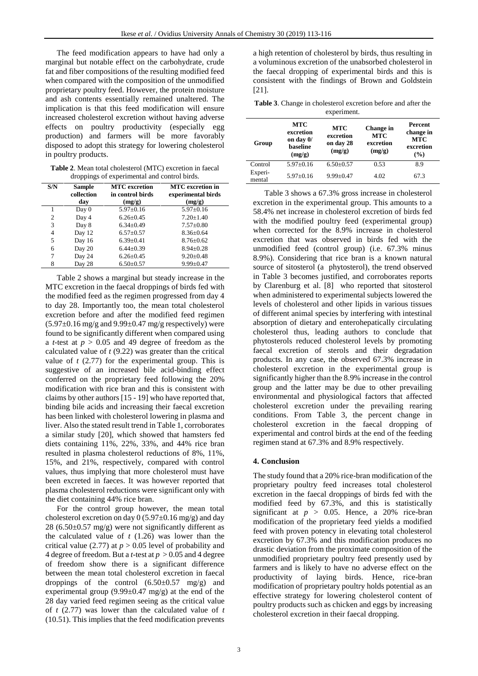The feed modification appears to have had only a marginal but notable effect on the carbohydrate, crude fat and fiber compositions of the resulting modified feed when compared with the composition of the unmodified proprietary poultry feed. However, the protein moisture and ash contents essentially remained unaltered. The implication is that this feed modification will ensure increased cholesterol excretion without having adverse effects on poultry productivity (especially egg production) and farmers will be more favorably disposed to adopt this strategy for lowering cholesterol in poultry products.

**Table 2**. Mean total cholesterol (MTC) excretion in faecal droppings of experimental and control birds.

| S/N            | <b>Sample</b><br>collection | <b>MTC</b> excretion<br>in control birds | <b>MTC</b> excretion in<br>experimental birds |
|----------------|-----------------------------|------------------------------------------|-----------------------------------------------|
|                | day                         | (mg/g)                                   | (mg/g)                                        |
|                | Day 0                       | $5.97 \pm 0.16$                          | $5.97 \pm 0.16$                               |
| $\overline{c}$ | Day 4                       | $6.26 \pm 0.45$                          | $7.20 \pm 1.40$                               |
| 3              | Day 8                       | $6.34 \pm 0.49$                          | $7.57 \pm 0.80$                               |
| 4              | Day 12                      | $6.57+0.57$                              | $8.36 \pm 0.64$                               |
| 5              | Day 16                      | $6.39 \pm 0.41$                          | $8.76 \pm 0.62$                               |
| 6              | Day 20                      | $6.44 \pm 0.39$                          | $8.94 \pm 0.28$                               |
| 7              | Day 24                      | $6.26 \pm 0.45$                          | $9.20 \pm 0.48$                               |
|                | Day 28                      | $6.50+0.57$                              | $9.99 \pm 0.47$                               |

Table 2 shows a marginal but steady increase in the MTC excretion in the faecal droppings of birds fed with the modified feed as the regimen progressed from day 4 to day 28. Importantly too, the mean total cholesterol excretion before and after the modified feed regimen  $(5.97\pm0.16 \text{ mg/g}$  and  $9.99\pm0.47 \text{ mg/g}$  respectively) were found to be significantly different when compared using a *t*-test at *p* > 0.05 and 49 degree of freedom as the calculated value of *t* (9.22) was greater than the critical value of  $t$  (2.77) for the experimental group. This is suggestive of an increased bile acid-binding effect conferred on the proprietary feed following the 20% modification with rice bran and this is consistent with claims by other authors [15 - 19] who have reported that, binding bile acids and increasing their faecal excretion has been linked with cholesterol lowering in plasma and liver. Also the stated result trend in Table 1, corroborates a similar study [20], which showed that hamsters fed diets containing 11%, 22%, 33%, and 44% rice bran resulted in plasma cholesterol reductions of 8%, 11%, 15%, and 21%, respectively, compared with control values, thus implying that more cholesterol must have been excreted in faeces. It was however reported that plasma cholesterol reductions were significant only with the diet containing 44% rice bran.

For the control group however, the mean total cholesterol excretion on day  $0$  (5.97 $\pm$ 0.16 mg/g) and day 28 (6.50 $\pm$ 0.57 mg/g) were not significantly different as the calculated value of  $t(1.26)$  was lower than the critical value (2.77) at  $p > 0.05$  level of probability and 4 degree of freedom. But a *t*-test at *p* > 0.05 and 4 degree of freedom show there is a significant difference between the mean total cholesterol excretion in faecal droppings of the control (6.50±0.57 mg/g) and experimental group  $(9.99\pm 0.47 \text{ mg/g})$  at the end of the 28 day varied feed regimen seeing as the critical value of *t* (2.77) was lower than the calculated value of *t*  (10.51). This implies that the feed modification prevents

a high retention of cholesterol by birds, thus resulting in a voluminous excretion of the unabsorbed cholesterol in the faecal dropping of experimental birds and this is consistent with the findings of Brown and Goldstein [21].

| <b>Table 3.</b> Change in cholesterol excretion before and after the |             |  |  |  |
|----------------------------------------------------------------------|-------------|--|--|--|
|                                                                      | experiment. |  |  |  |

| Group             | <b>MTC</b><br>excretion<br>on day 0/<br>baseline<br>(mg/g) | <b>MTC</b><br>excretion<br>on day 28<br>(mg/g) | Change in<br><b>MTC</b><br>excretion<br>(mg/g) | Percent<br>change in<br><b>MTC</b><br>excretion<br>(%) |
|-------------------|------------------------------------------------------------|------------------------------------------------|------------------------------------------------|--------------------------------------------------------|
| Control           | $5.97 \pm 0.16$                                            | $6.50 \pm 0.57$                                | 0.53                                           | 8.9                                                    |
| Experi-<br>mental | $5.97 \pm 0.16$                                            | $9.99 \pm 0.47$                                | 4.02                                           | 67.3                                                   |

Table 3 shows a 67.3% gross increase in cholesterol excretion in the experimental group. This amounts to a 58.4% net increase in cholesterol excretion of birds fed with the modified poultry feed (experimental group) when corrected for the 8.9% increase in cholesterol excretion that was observed in birds fed with the unmodified feed (control group) (i.e. 67.3% minus 8.9%). Considering that rice bran is a known natural source of sitosterol (a phytosterol), the trend observed in Table 3 becomes justified, and corroborates reports by Clarenburg et al. [8] who reported that sitosterol when administered to experimental subjects lowered the levels of cholesterol and other lipids in various tissues of different animal species by interfering with intestinal absorption of dietary and enterohepatically circulating cholesterol thus, leading authors to conclude that phytosterols reduced cholesterol levels by promoting faecal excretion of sterols and their degradation products. In any case, the observed 67.3% increase in cholesterol excretion in the experimental group is significantly higher than the 8.9% increase in the control group and the latter may be due to other prevailing environmental and physiological factors that affected cholesterol excretion under the prevailing rearing conditions. From Table 3, the percent change in cholesterol excretion in the faecal dropping of experimental and control birds at the end of the feeding regimen stand at 67.3% and 8.9% respectively.

#### **4. Conclusion**

The study found that a 20% rice-bran modification of the proprietary poultry feed increases total cholesterol excretion in the faecal droppings of birds fed with the modified feed by 67.3%, and this is statistically significant at  $p > 0.05$ . Hence, a 20% rice-bran modification of the proprietary feed yields a modified feed with proven potency in elevating total cholesterol excretion by 67.3% and this modification produces no drastic deviation from the proximate composition of the unmodified proprietary poultry feed presently used by farmers and is likely to have no adverse effect on the productivity of laying birds. Hence, rice-bran modification of proprietary poultry holds potential as an effective strategy for lowering cholesterol content of poultry products such as chicken and eggs by increasing cholesterol excretion in their faecal dropping.